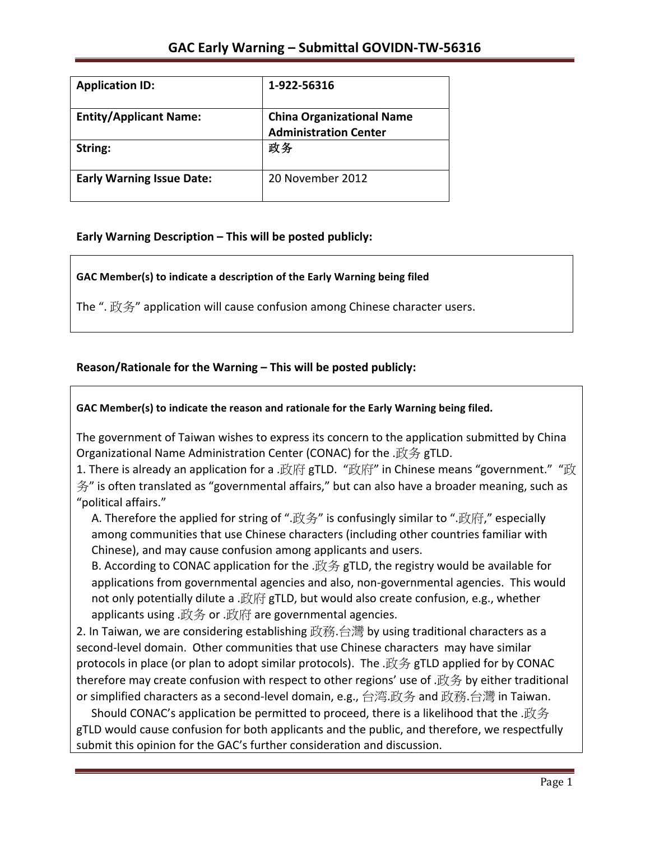| <b>Application ID:</b>           | 1-922-56316                                                      |
|----------------------------------|------------------------------------------------------------------|
| <b>Entity/Applicant Name:</b>    | <b>China Organizational Name</b><br><b>Administration Center</b> |
| String:                          | 政务                                                               |
| <b>Early Warning Issue Date:</b> | 20 November 2012                                                 |

# **Early Warning Description – This will be posted publicly:**

GAC Member(s) to indicate a description of the Early Warning being filed

The ". 政务" application will cause confusion among Chinese character users.

## Reason/Rationale for the Warning – This will be posted publicly:

## GAC Member(s) to indicate the reason and rationale for the Early Warning being filed.

The government of Taiwan wishes to express its concern to the application submitted by China Organizational Name Administration Center (CONAC) for the .政务 gTLD.

1. There is already an application for a .政府 gTLD. "政府" in Chinese means "government." "政  $\frac{4}{3}$ " is often translated as "governmental affairs," but can also have a broader meaning, such as "political affairs."

A. Therefore the applied for string of ".政务" is confusingly similar to ".政府," especially among communities that use Chinese characters (including other countries familiar with Chinese), and may cause confusion among applicants and users.

B. According to CONAC application for the .政务 gTLD, the registry would be available for applications from governmental agencies and also, non-governmental agencies. This would not only potentially dilute a .政府 gTLD, but would also create confusion, e.g., whether applicants using .政务 or .政府 are governmental agencies.

2. In Taiwan, we are considering establishing 政務.台灣 by using traditional characters as a second-level domain. Other communities that use Chinese characters may have similar protocols in place (or plan to adopt similar protocols). The  $\mathcal{X}\rightarrow\mathcal{Y}$  gTLD applied for by CONAC therefore may create confusion with respect to other regions' use of .政务 by either traditional or simplified characters as a second-level domain, e.g., 台湾.政务 and 政務.台灣 in Taiwan.

Should CONAC's application be permitted to proceed, there is a likelihood that the .政务 gTLD would cause confusion for both applicants and the public, and therefore, we respectfully submit this opinion for the GAC's further consideration and discussion.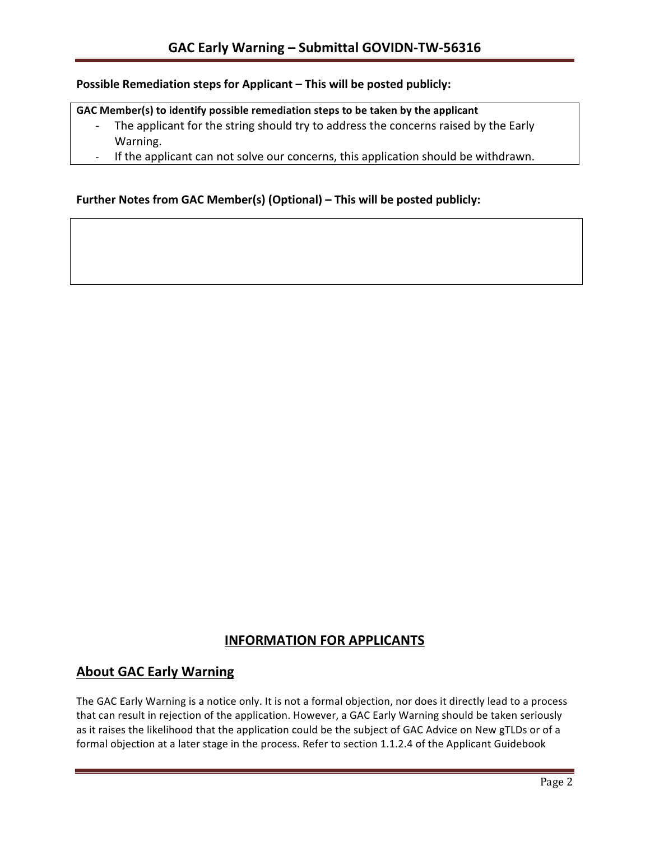### **Possible Remediation steps for Applicant – This will be posted publicly:**

#### GAC Member(s) to identify possible remediation steps to be taken by the applicant

- The applicant for the string should try to address the concerns raised by the Early Warning.
- If the applicant can not solve our concerns, this application should be withdrawn.

### **Further Notes from GAC Member(s) (Optional) – This will be posted publicly:**

## **INFORMATION FOR APPLICANTS**

# **About GAC Early Warning**

The GAC Early Warning is a notice only. It is not a formal objection, nor does it directly lead to a process that can result in rejection of the application. However, a GAC Early Warning should be taken seriously as it raises the likelihood that the application could be the subject of GAC Advice on New gTLDs or of a formal objection at a later stage in the process. Refer to section 1.1.2.4 of the Applicant Guidebook